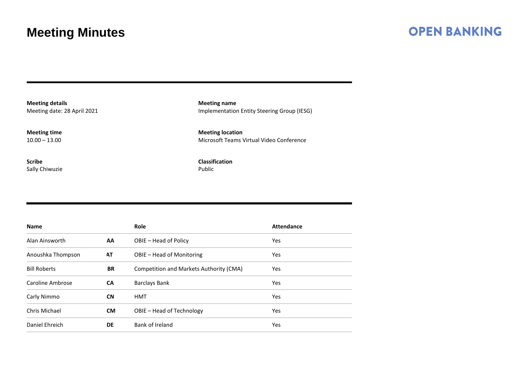#### **OPEN BANKING**

**Meeting details** Meeting date: 28 April 2021

**Meeting time**  $10.00 - 13.00$ 

**Scribe** Sally Chiwuzie

**Meeting name** Implementation Entity Steering Group (IESG)

**Meeting location** Microsoft Teams Virtual Video Conference

**Classification** Public

| <b>Name</b>         |           | Role                                    | <b>Attendance</b> |
|---------------------|-----------|-----------------------------------------|-------------------|
| Alan Ainsworth      | AA.       | OBIE – Head of Policy                   | <b>Yes</b>        |
| Anoushka Thompson   | AT        | OBIE - Head of Monitoring               | <b>Yes</b>        |
| <b>Bill Roberts</b> | <b>BR</b> | Competition and Markets Authority (CMA) | Yes               |
| Caroline Ambrose    | <b>CA</b> | <b>Barclays Bank</b>                    | <b>Yes</b>        |
| Carly Nimmo         | <b>CN</b> | HMT                                     | <b>Yes</b>        |
| Chris Michael       | <b>CM</b> | OBIE - Head of Technology               | <b>Yes</b>        |
| Daniel Ehreich      | DE        | Bank of Ireland                         | Yes               |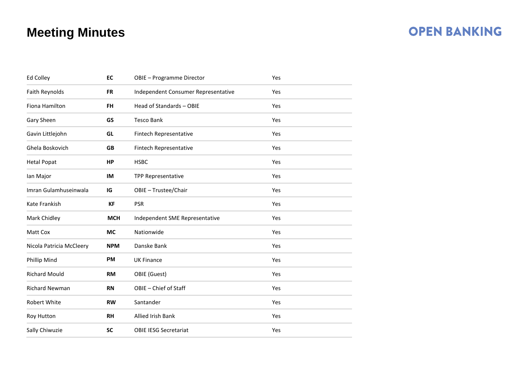| Ed Colley                | EC         | OBIE - Programme Director           | Yes |  |
|--------------------------|------------|-------------------------------------|-----|--|
| Faith Reynolds           | <b>FR</b>  | Independent Consumer Representative | Yes |  |
| Fiona Hamilton           | <b>FH</b>  | Head of Standards - OBIE            | Yes |  |
| Gary Sheen               | GS         | <b>Tesco Bank</b>                   | Yes |  |
| Gavin Littlejohn         | GL         | Fintech Representative              | Yes |  |
| Ghela Boskovich          | <b>GB</b>  | Fintech Representative              | Yes |  |
| <b>Hetal Popat</b>       | HP         | <b>HSBC</b>                         | Yes |  |
| lan Major                | IM         | TPP Representative                  | Yes |  |
| Imran Gulamhuseinwala    | IG         | OBIE - Trustee/Chair                | Yes |  |
| <b>Kate Frankish</b>     | <b>KF</b>  | <b>PSR</b>                          | Yes |  |
| Mark Chidley             | <b>MCH</b> | Independent SME Representative      | Yes |  |
| Matt Cox                 | МC         | Nationwide                          | Yes |  |
| Nicola Patricia McCleery | <b>NPM</b> | Danske Bank                         | Yes |  |
| Phillip Mind             | <b>PM</b>  | <b>UK Finance</b>                   | Yes |  |
| <b>Richard Mould</b>     | <b>RM</b>  | OBIE (Guest)                        | Yes |  |
| <b>Richard Newman</b>    | <b>RN</b>  | OBIE - Chief of Staff               | Yes |  |
| Robert White             | <b>RW</b>  | Santander                           | Yes |  |
| Roy Hutton               | <b>RH</b>  | Allied Irish Bank                   | Yes |  |
| Sally Chiwuzie           | <b>SC</b>  | <b>OBIE IESG Secretariat</b>        | Yes |  |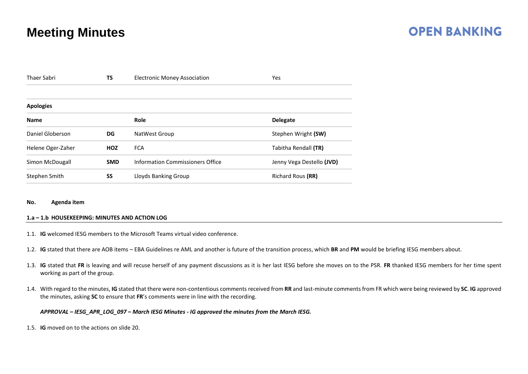## **OPEN BANKING**

| <b>TS</b><br><b>Thaer Sabri</b> |            | <b>Electronic Money Association</b> | Yes                       |
|---------------------------------|------------|-------------------------------------|---------------------------|
|                                 |            |                                     |                           |
| <b>Apologies</b>                |            |                                     |                           |
| <b>Name</b>                     |            | <b>Role</b>                         | <b>Delegate</b>           |
| Daniel Globerson<br>DG          |            | NatWest Group                       | Stephen Wright (SW)       |
| Helene Oger-Zaher               | <b>HOZ</b> | <b>FCA</b>                          | Tabitha Rendall (TR)      |
| Simon McDougall                 | <b>SMD</b> | Information Commissioners Office    | Jenny Vega Destello (JVD) |
| Stephen Smith                   | SS         | Lloyds Banking Group                | Richard Rous (RR)         |

#### **No. Agenda item**

#### **1.a – 1.b HOUSEKEEPING: MINUTES AND ACTION LOG**

- 1.1. **IG** welcomed IESG members to the Microsoft Teams virtual video conference.
- 1.2. **IG** stated that there are AOB items EBA Guidelines re AML and another is future of the transition process, which **BR** and **PM** would be briefing IESG members about.
- 1.3. **IG** stated that **FR** is leaving and will recuse herself of any payment discussions as it is her last IESG before she moves on to the PSR. **FR** thanked IESG members for her time spent working as part of the group.
- 1.4. With regard to the minutes, **IG** stated that there were non-contentious comments received from **RR** and last-minute comments from FR which were being reviewed by **SC**. **IG** approved the minutes, asking **SC** to ensure that **FR**'s comments were in line with the recording.

#### *APPROVAL – IESG\_APR\_LOG\_097 – March IESG Minutes - IG approved the minutes from the March IESG.*

1.5. **IG** moved on to the actions on slide 20.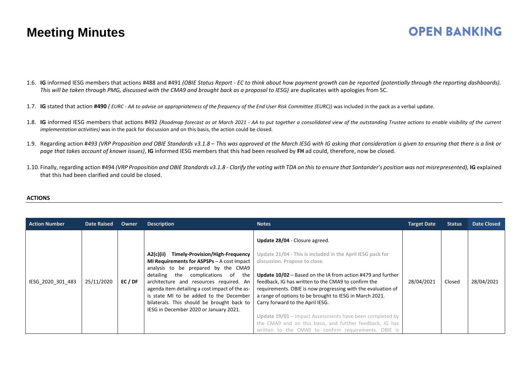### **OPEN BANKING**

- 1.6. **IG** informed IESG members that actions #488 and #491 *(OBIE Status Report - EC to think about how payment growth can be reported (potentially through the reporting dashboards). This will be taken through PMG, discussed with the CMA9 and brought back as a proposal to IESG)* are duplicates with apologies from SC.
- 1.7. **IG** stated that action **#490** *( EURC - AA to advise on appropriateness of the frequency of the End User Risk Committee (EURC))* was included in the pack as a verbal update.
- 1.8. **IG** informed IESG members that actions #492 *(Roadmap forecast as at March 2021 - AA to put together a consolidated view of the outstanding Trustee actions to enable visibility of the current implementation activities)* was in the pack for discussion and on this basis, the action could be closed.
- 1.9. Regarding action #*493 (VRP Proposition and OBIE Standards v3.1.8 – This was approved at the March IESG with IG asking that consideration is given to ensuring that there is a link or page that takes account of known issues)*, **IG** informed IESG members that this had been resolved by **FH** ad could, therefore, now be closed.
- 1.10. Finally, regarding action #494 *(VRP Proposition and OBIE Standards v3.1.8 - Clarify the voting with TDA on this to ensure that Santander's position was not misrepresented),* **IG** explained that this had been clarified and could be closed.

#### **ACTIONS**

| <b>Action Number</b> | <b>Date Raised</b> | Owner   | <b>Description</b>                                                                                                                                                                                                                                                                                                                                                                                               | <b>Notes</b>                                                                                                                                                                                                                                                                                                                                                                                                                                                                                                                                                                                              | <b>Target Date</b> | <b>Status</b> | <b>Date Closed</b> |
|----------------------|--------------------|---------|------------------------------------------------------------------------------------------------------------------------------------------------------------------------------------------------------------------------------------------------------------------------------------------------------------------------------------------------------------------------------------------------------------------|-----------------------------------------------------------------------------------------------------------------------------------------------------------------------------------------------------------------------------------------------------------------------------------------------------------------------------------------------------------------------------------------------------------------------------------------------------------------------------------------------------------------------------------------------------------------------------------------------------------|--------------------|---------------|--------------------|
| IESG 2020 301 483    | 25/11/2020         | EC / DF | Timely-Provision/High-Frequency<br>A2(c)(ii)<br><b>MI Requirements for ASPSPs</b> $-$ A cost impact<br>analysis to be prepared by the CMA9<br>detailing the complications of the<br>architecture and resources required. An<br>agenda item detailing a cost impact of the as-<br>is state MI to be added to the December<br>bilaterals. This should be brought back to<br>IESG in December 2020 or January 2021. | Update 28/04 - Closure agreed.<br>Update 21/04 - This is included in the April IESG pack for<br>discussion. Propose to close.<br><b>Update 10/02</b> – Based on the IA from action #479 and further<br>feedback, IG has written to the CMA9 to confirm the<br>requirements. OBIE is now progressing with the evaluation of<br>a range of options to be brought to IESG in March 2021.<br>Carry forward to the April IESG.<br>Update 19/01 - Impact Assessments have been completed by<br>the CMA9 and on this basis, and further feedback, IG has<br>written to the CMA9 to confirm requirements. OBIE is | 28/04/2021         | Closed        | 28/04/2021         |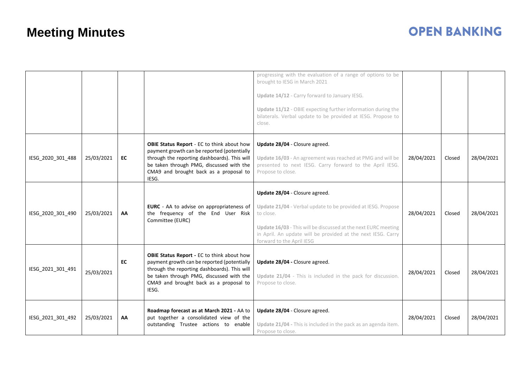|                   |            |    |                                                                                                                                                                                                                                                 | progressing with the evaluation of a range of options to be<br>brought to IESG in March 2021<br>Update 14/12 - Carry forward to January IESG.<br>Update 11/12 - OBIE expecting further information during the<br>bilaterals. Verbal update to be provided at IESG. Propose to<br>close. |            |        |            |
|-------------------|------------|----|-------------------------------------------------------------------------------------------------------------------------------------------------------------------------------------------------------------------------------------------------|-----------------------------------------------------------------------------------------------------------------------------------------------------------------------------------------------------------------------------------------------------------------------------------------|------------|--------|------------|
| IESG_2020_301_488 | 25/03/2021 | EC | <b>OBIE Status Report</b> - EC to think about how<br>payment growth can be reported (potentially<br>through the reporting dashboards). This will<br>be taken through PMG, discussed with the<br>CMA9 and brought back as a proposal to<br>IESG. | Update 28/04 - Closure agreed.<br>Update 16/03 - An agreement was reached at PMG and will be<br>presented to next IESG. Carry forward to the April IESG.<br>Propose to close.                                                                                                           | 28/04/2021 | Closed | 28/04/2021 |
| IESG_2020_301_490 | 25/03/2021 | AA | EURC - AA to advise on appropriateness of<br>the frequency of the End User Risk<br>Committee (EURC)                                                                                                                                             | Update 28/04 - Closure agreed.<br>Update 21/04 - Verbal update to be provided at IESG. Propose<br>to close.<br>Update 16/03 - This will be discussed at the next EURC meeting<br>in April. An update will be provided at the next IESG. Carry<br>forward to the April IESG              | 28/04/2021 | Closed | 28/04/2021 |
| IESG_2021_301_491 | 25/03/2021 | EC | OBIE Status Report - EC to think about how<br>payment growth can be reported (potentially<br>through the reporting dashboards). This will<br>be taken through PMG, discussed with the<br>CMA9 and brought back as a proposal to<br>IESG.        | Update 28/04 - Closure agreed.<br>Update 21/04 - This is included in the pack for discussion.<br>Propose to close.                                                                                                                                                                      | 28/04/2021 | Closed | 28/04/2021 |
| IESG_2021_301_492 | 25/03/2021 | AA | Roadmap forecast as at March 2021 - AA to<br>put together a consolidated view of the<br>outstanding Trustee actions to enable                                                                                                                   | Update 28/04 - Closure agreed.<br>Update 21/04 - This is included in the pack as an agenda item.<br>Propose to close.                                                                                                                                                                   | 28/04/2021 | Closed | 28/04/2021 |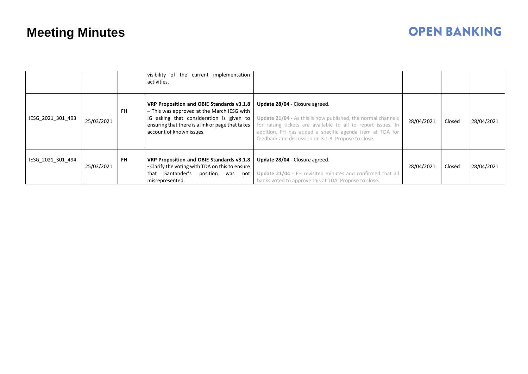|                   |            |           | visibility of the current implementation<br>activities.                                                                                                                                                             |                                                                                                                                                                                                                                                                                           |            |        |            |
|-------------------|------------|-----------|---------------------------------------------------------------------------------------------------------------------------------------------------------------------------------------------------------------------|-------------------------------------------------------------------------------------------------------------------------------------------------------------------------------------------------------------------------------------------------------------------------------------------|------------|--------|------------|
| IESG 2021 301 493 | 25/03/2021 | <b>FH</b> | VRP Proposition and OBIE Standards v3.1.8<br>- This was approved at the March IESG with<br>IG asking that consideration is given to<br>ensuring that there is a link or page that takes<br>account of known issues. | Update 28/04 - Closure agreed.<br><b>Update 21/04 - As this is now published, the normal channels</b><br>for raising tickets are available to all to report issues. In<br>addition, FH has added a specific agenda item at TDA for<br>feedback and discussion on 3.1.8. Propose to close. | 28/04/2021 | Closed | 28/04/2021 |
| IESG 2021 301 494 | 25/03/2021 | <b>FH</b> | VRP Proposition and OBIE Standards v3.1.8<br>- Clarify the voting with TDA on this to ensure<br>Santander's<br>that<br>position<br>was<br>not<br>misrepresented.                                                    | Update 28/04 - Closure agreed.<br>Update 21/04 - FH revisited minutes and confirmed that all<br>banks voted to approve this at TDA. Propose to close.                                                                                                                                     | 28/04/2021 | Closed | 28/04/2021 |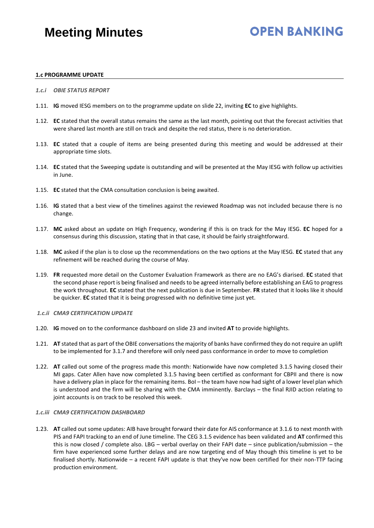# **OPEN BANKING**

#### **1.c PROGRAMME UPDATE**

- *1.c.i OBIE STATUS REPORT*
- 1.11. **IG** moved IESG members on to the programme update on slide 22, inviting **EC** to give highlights.
- 1.12. **EC** stated that the overall status remains the same as the last month, pointing out that the forecast activities that were shared last month are still on track and despite the red status, there is no deterioration.
- 1.13. **EC** stated that a couple of items are being presented during this meeting and would be addressed at their appropriate time slots.
- 1.14. **EC** stated that the Sweeping update is outstanding and will be presented at the May IESG with follow up activities in June.
- 1.15. **EC** stated that the CMA consultation conclusion is being awaited.
- 1.16. **IG** stated that a best view of the timelines against the reviewed Roadmap was not included because there is no change.
- 1.17. **MC** asked about an update on High Frequency, wondering if this is on track for the May IESG. **EC** hoped for a consensus during this discussion, stating that in that case, it should be fairly straightforward.
- 1.18. **MC** asked if the plan is to close up the recommendations on the two options at the May IESG. **EC** stated that any refinement will be reached during the course of May.
- 1.19. **FR** requested more detail on the Customer Evaluation Framework as there are no EAG's diarised. **EC** stated that the second phase report is being finalised and needs to be agreed internally before establishing an EAG to progress the work throughout. **EC** stated that the next publication is due in September. **FR** stated that it looks like it should be quicker. **EC** stated that it is being progressed with no definitive time just yet.
- *1.c.ii CMA9 CERTIFICATION UPDATE*
- 1.20. **IG** moved on to the conformance dashboard on slide 23 and invited **AT** to provide highlights.
- 1.21. **AT** stated that as part of the OBIE conversations the majority of banks have confirmed they do not require an uplift to be implemented for 3.1.7 and therefore will only need pass conformance in order to move to completion
- 1.22. **AT** called out some of the progress made this month: Nationwide have now completed 3.1.5 having closed their MI gaps. Cater Allen have now completed 3.1.5 having been certified as conformant for CBPII and there is now have a delivery plan in place for the remaining items. BoI – the team have now had sight of a lower level plan which is understood and the firm will be sharing with the CMA imminently. Barclays – the final RJID action relating to joint accounts is on track to be resolved this week.

#### *1.c.iii CMA9 CERTIFICATION DASHBOARD*

1.23. **AT** called out some updates: AIB have brought forward their date for AIS conformance at 3.1.6 to next month with PIS and FAPI tracking to an end of June timeline. The CEG 3.1.5 evidence has been validated and **AT** confirmed this this is now closed / complete also. LBG – verbal overlay on their FAPI date – since publication/submission – the firm have experienced some further delays and are now targeting end of May though this timeline is yet to be finalised shortly. Nationwide – a recent FAPI update is that they've now been certified for their non-TTP facing production environment.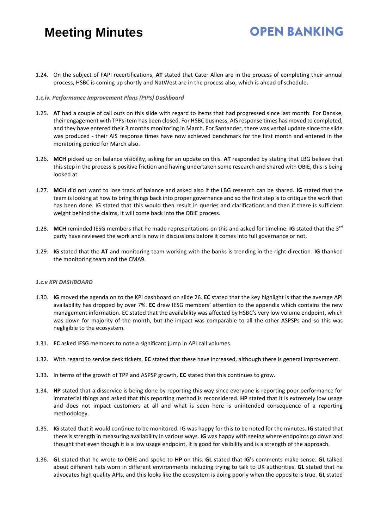# **OPEN BANKING**

1.24. On the subject of FAPI recertifications, **AT** stated that Cater Allen are in the process of completing their annual process, HSBC is coming up shortly and NatWest are in the process also, which is ahead of schedule.

#### *1.c.iv. Performance Improvement Plans (PIPs) Dashboard*

- 1.25. **AT** had a couple of call outs on this slide with regard to items that had progressed since last month: For Danske, their engagement with TPPs item has been closed. For HSBC business, AIS response times has moved to completed, and they have entered their 3 months monitoring in March. For Santander, there was verbal update since the slide was produced - their AIS response times have now achieved benchmark for the first month and entered in the monitoring period for March also.
- 1.26. **MCH** picked up on balance visibility, asking for an update on this. **AT** responded by stating that LBG believe that this step in the process is positive friction and having undertaken some research and shared with OBIE, this is being looked at.
- 1.27. **MCH** did not want to lose track of balance and asked also if the LBG research can be shared. **IG** stated that the team is looking at how to bring things back into proper governance and so the first step is to critique the work that has been done. IG stated that this would then result in queries and clarifications and then if there is sufficient weight behind the claims, it will come back into the OBIE process.
- 1.28. **MCH** reminded IESG members that he made representations on this and asked for timeline. **IG** stated that the 3rd party have reviewed the work and is now in discussions before it comes into full governance or not.
- 1.29. **IG** stated that the **AT** and monitoring team working with the banks is trending in the right direction. **IG** thanked the monitoring team and the CMA9.

#### *1.c.v KPI DASHBOARD*

- 1.30. **IG** moved the agenda on to the KPI dashboard on slide 26. **EC** stated that the key highlight is that the average API availability has dropped by over 7%. **EC** drew IESG members' attention to the appendix which contains the new management information. EC stated that the availability was affected by HSBC's very low volume endpoint, which was down for majority of the month, but the impact was comparable to all the other ASPSPs and so this was negligible to the ecosystem.
- 1.31. **EC** asked IESG members to note a significant jump in API call volumes.
- 1.32. With regard to service desk tickets, **EC** stated that these have increased, although there is general improvement.
- 1.33. In terms of the growth of TPP and ASPSP growth, **EC** stated that this continues to grow.
- 1.34. **HP** stated that a disservice is being done by reporting this way since everyone is reporting poor performance for immaterial things and asked that this reporting method is reconsidered. **HP** stated that it is extremely low usage and does not impact customers at all and what is seen here is unintended consequence of a reporting methodology.
- 1.35. **IG** stated that it would continue to be monitored. IG was happy for this to be noted for the minutes. **IG** stated that there is strength in measuring availability in various ways. **IG** was happy with seeing where endpoints go down and thought that even though it is a low usage endpoint, it is good for visibility and is a strength of the approach.
- 1.36. **GL** stated that he wrote to OBIE and spoke to **HP** on this. **GL** stated that **IG**'s comments make sense. **GL** talked about different hats worn in different environments including trying to talk to UK authorities. **GL** stated that he advocates high quality APIs, and this looks like the ecosystem is doing poorly when the opposite is true. **GL** stated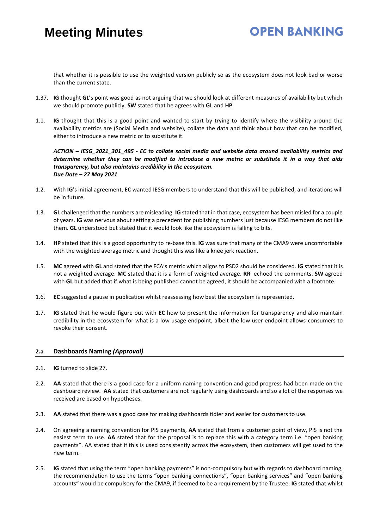that whether it is possible to use the weighted version publicly so as the ecosystem does not look bad or worse than the current state.

- 1.37. **IG** thought **GL**'s point was good as not arguing that we should look at different measures of availability but which we should promote publicly. **SW** stated that he agrees with **GL** and **HP**.
- 1.1. **IG** thought that this is a good point and wanted to start by trying to identify where the visibility around the availability metrics are (Social Media and website), collate the data and think about how that can be modified, either to introduce a new metric or to substitute it.

*ACTION – IESG\_2021\_301\_495 - EC to collate social media and website data around availability metrics and determine whether they can be modified to introduce a new metric or substitute it in a way that aids transparency, but also maintains credibility in the ecosystem. Due Date – 27 May 2021* 

- 1.2. With **IG**'s initial agreement, **EC** wanted IESG members to understand that this will be published, and iterations will be in future.
- 1.3. **GL** challenged that the numbers are misleading. **IG** stated that in that case, ecosystem has been misled for a couple of years. **IG** was nervous about setting a precedent for publishing numbers just because IESG members do not like them. **GL** understood but stated that it would look like the ecosystem is falling to bits.
- 1.4. **HP** stated that this is a good opportunity to re-base this. **IG** was sure that many of the CMA9 were uncomfortable with the weighted average metric and thought this was like a knee jerk reaction.
- 1.5. **MC** agreed with **GL** and stated that the FCA's metric which aligns to PSD2 should be considered. **IG** stated that it is not a weighted average. **MC** stated that it is a form of weighted average. **RR** echoed the comments. **SW** agreed with **GL** but added that if what is being published cannot be agreed, it should be accompanied with a footnote.
- 1.6. **EC** suggested a pause in publication whilst reassessing how best the ecosystem is represented.
- 1.7. **IG** stated that he would figure out with **EC** how to present the information for transparency and also maintain credibility in the ecosystem for what is a low usage endpoint, albeit the low user endpoint allows consumers to revoke their consent.

#### **2.a Dashboards Naming** *(Approval)*

- 2.1. **IG** turned to slide 27.
- 2.2. **AA** stated that there is a good case for a uniform naming convention and good progress had been made on the dashboard review. **AA** stated that customers are not regularly using dashboards and so a lot of the responses we received are based on hypotheses.
- 2.3. **AA** stated that there was a good case for making dashboards tidier and easier for customers to use.
- 2.4. On agreeing a naming convention for PIS payments, **AA** stated that from a customer point of view, PIS is not the easiest term to use. **AA** stated that for the proposal is to replace this with a category term i.e. "open banking payments". AA stated that if this is used consistently across the ecosystem, then customers will get used to the new term.
- 2.5. **IG** stated that using the term "open banking payments" is non-compulsory but with regards to dashboard naming, the recommendation to use the terms "open banking connections", "open banking services" and "open banking accounts" would be compulsory for the CMA9, if deemed to be a requirement by the Trustee. **IG** stated that whilst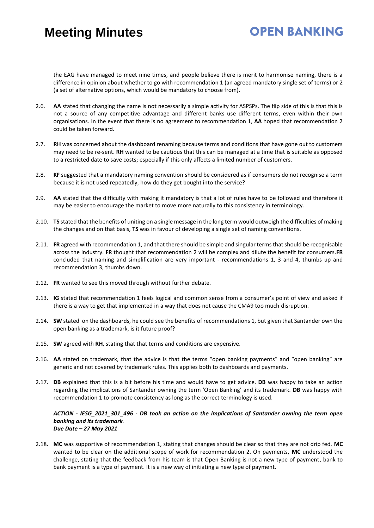# **OPEN BANKING**

the EAG have managed to meet nine times, and people believe there is merit to harmonise naming, there is a difference in opinion about whether to go with recommendation 1 (an agreed mandatory single set of terms) or 2 (a set of alternative options, which would be mandatory to choose from).

- 2.6. **AA** stated that changing the name is not necessarily a simple activity for ASPSPs. The flip side of this is that this is not a source of any competitive advantage and different banks use different terms, even within their own organisations. In the event that there is no agreement to recommendation 1, **AA** hoped that recommendation 2 could be taken forward.
- 2.7. **RH** was concerned about the dashboard renaming because terms and conditions that have gone out to customers may need to be re-sent. **RH** wanted to be cautious that this can be managed at a time that is suitable as opposed to a restricted date to save costs; especially if this only affects a limited number of customers.
- 2.8. **KF** suggested that a mandatory naming convention should be considered as if consumers do not recognise a term because it is not used repeatedly, how do they get bought into the service?
- 2.9. **AA** stated that the difficulty with making it mandatory is that a lot of rules have to be followed and therefore it may be easier to encourage the market to move more naturally to this consistency in terminology.
- 2.10. **TS** stated that the benefits of uniting on a single message in the long term would outweigh the difficulties of making the changes and on that basis, **TS** was in favour of developing a single set of naming conventions.
- 2.11. **FR** agreed with recommendation 1, and that there should be simple and singular terms that should be recognisable across the industry. **FR** thought that recommendation 2 will be complex and dilute the benefit for consumers.**FR** concluded that naming and simplification are very important - recommendations 1, 3 and 4, thumbs up and recommendation 3, thumbs down.
- 2.12. **FR** wanted to see this moved through without further debate.
- 2.13. **IG** stated that recommendation 1 feels logical and common sense from a consumer's point of view and asked if there is a way to get that implemented in a way that does not cause the CMA9 too much disruption.
- 2.14. **SW** stated on the dashboards, he could see the benefits of recommendations 1, but given that Santander own the open banking as a trademark, is it future proof?
- 2.15. **SW** agreed with **RH**, stating that that terms and conditions are expensive.
- 2.16. **AA** stated on trademark, that the advice is that the terms "open banking payments" and "open banking" are generic and not covered by trademark rules. This applies both to dashboards and payments.
- 2.17. **DB** explained that this is a bit before his time and would have to get advice. **DB** was happy to take an action regarding the implications of Santander owning the term 'Open Banking' and its trademark. **DB** was happy with recommendation 1 to promote consistency as long as the correct terminology is used.

#### *ACTION - IESG\_2021\_301\_496 - DB took an action on the implications of Santander owning the term open banking and its trademark. Due Date – 27 May 2021*

2.18. **MC** was supportive of recommendation 1, stating that changes should be clear so that they are not drip fed. **MC** wanted to be clear on the additional scope of work for recommendation 2. On payments, **MC** understood the challenge, stating that the feedback from his team is that Open Banking is not a new type of payment, bank to bank payment is a type of payment. It is a new way of initiating a new type of payment.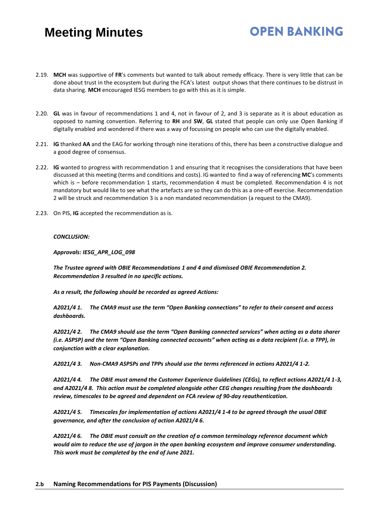#### 2.19. **MCH** was supportive of **FR**'s comments but wanted to talk about remedy efficacy. There is very little that can be done about trust in the ecosystem but during the FCA's latest output shows that there continues to be distrust in data sharing. **MCH** encouraged IESG members to go with this as it is simple.

**OPEN BANKING** 

- 2.20. **GL** was in favour of recommendations 1 and 4, not in favour of 2, and 3 is separate as it is about education as opposed to naming convention. Referring to **RH** and **SW**, **GL** stated that people can only use Open Banking if digitally enabled and wondered if there was a way of focussing on people who can use the digitally enabled.
- 2.21. **IG** thanked **AA** and the EAG for working through nine iterations of this, there has been a constructive dialogue and a good degree of consensus.
- 2.22. **IG** wanted to progress with recommendation 1 and ensuring that it recognises the considerations that have been discussed at this meeting (terms and conditions and costs). IG wanted to find a way of referencing **MC**'s comments which is - before recommendation 1 starts, recommendation 4 must be completed. Recommendation 4 is not mandatory but would like to see what the artefacts are so they can do this as a one-off exercise. Recommendation 2 will be struck and recommendation 3 is a non mandated recommendation (a request to the CMA9).
- 2.23. On PIS, **IG** accepted the recommendation as is.

#### *CONCLUSION:*

*Approvals: IESG\_APR\_LOG\_098*

*The Trustee agreed with OBIE Recommendations 1 and 4 and dismissed OBIE Recommendation 2. Recommendation 3 resulted in no specific actions.*

*As a result, the following should be recorded as agreed Actions:*

*A2021/4 1. The CMA9 must use the term "Open Banking connections" to refer to their consent and access dashboards.*

*A2021/4 2. The CMA9 should use the term "Open Banking connected services" when acting as a data sharer (i.e. ASPSP) and the term "Open Banking connected accounts" when acting as a data recipient (i.e. a TPP), in conjunction with a clear explanation.*

*A2021/4 3. Non-CMA9 ASPSPs and TPPs should use the terms referenced in actions A2021/4 1-2.*

*A2021/4 4. The OBIE must amend the Customer Experience Guidelines (CEGs), to reflect actions A2021/4 1-3, and A2021/4 8. This action must be completed alongside other CEG changes resulting from the dashboards review, timescales to be agreed and dependent on FCA review of 90-day reauthentication.* 

*A2021/4 5. Timescales for implementation of actions A2021/4 1-4 to be agreed through the usual OBIE governance, and after the conclusion of action A2021/4 6.* 

*A2021/4 6. The OBIE must consult on the creation of a common terminology reference document which would aim to reduce the use of jargon in the open banking ecosystem and improve consumer understanding. This work must be completed by the end of June 2021.*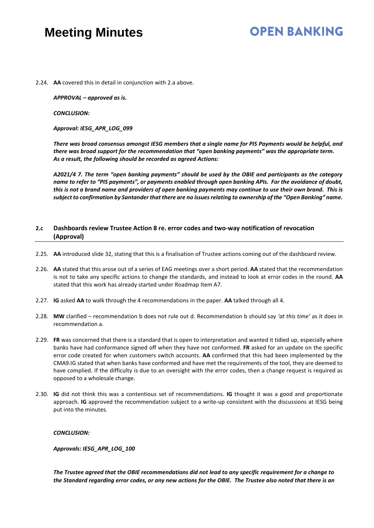### **OPEN BANKING**

2.24. **AA** covered this in detail in conjunction with 2.a above.

*APPROVAL – approved as is.* 

*CONCLUSION:*

*Approval: IESG\_APR\_LOG\_099*

*There was broad consensus amongst IESG members that a single name for PIS Payments would be helpful, and there was broad support for the recommendation that "open banking payments" was the appropriate term. As a result, the following should be recorded as agreed Actions:*

*A2021/4 7. The term "open banking payments" should be used by the OBIE and participants as the category name to refer to "PIS payments", or payments enabled through open banking APIs. For the avoidance of doubt, this is not a brand name and providers of open banking payments may continue to use their own brand. This is subject to confirmation by Santander that there are no issues relating to ownership of the "Open Banking" name.*

#### **2.c Dashboards review Trustee Action 8 re. error codes and two-way notification of revocation (Approval)**

- 2.25. **AA** introduced slide 32, stating that this is a finalisation of Trustee actions coming out of the dashboard review.
- 2.26. **AA** stated that this arose out of a series of EAG meetings over a short period. **AA** stated that the recommendation is not to take any specific actions to change the standards, and instead to look at error codes in the round. **AA** stated that this work has already started under Roadmap Item A7.
- 2.27. **IG** asked **AA** to walk through the 4 recommendations in the paper. **AA** talked through all 4.
- 2.28. **MW** clarified recommendation b does not rule out d. Recommendation b should say *'at this time'* as it does in recommendation a.
- 2.29. **FR** was concerned that there is a standard that is open to interpretation and wanted it tidied up, especially where banks have had conformance signed off when they have not conformed. **FR** asked for an update on the specific error code created for when customers switch accounts. **AA** confirmed that this had been implemented by the CMA9.IG stated that when banks have conformed and have met the requirements of the tool, they are deemed to have complied. If the difficulty is due to an oversight with the error codes, then a change request is required as opposed to a wholesale change.
- 2.30. **IG** did not think this was a contentious set of recommendations. **IG** thought it was a good and proportionate approach. **IG** approved the recommendation subject to a write-up consistent with the discussions at IESG being put into the minutes.

#### *CONCLUSION:*

*Approvals: IESG\_APR\_LOG\_100*

*The Trustee agreed that the OBIE recommendations did not lead to any specific requirement for a change to the Standard regarding error codes, or any new actions for the OBIE. The Trustee also noted that there is an*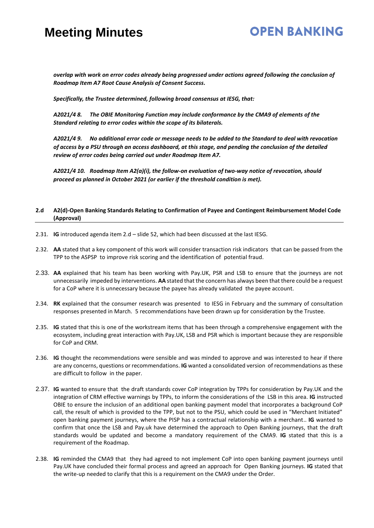#### **OPEN BANKING**

*overlap with work on error codes already being progressed under actions agreed following the conclusion of Roadmap Item A7 Root Cause Analysis of Consent Success.*

*Specifically, the Trustee determined, following broad consensus at IESG, that:*

*A2021/4 8. The OBIE Monitoring Function may include conformance by the CMA9 of elements of the Standard relating to error codes within the scope of its bilaterals.*

*A2021/4 9. No additional error code or message needs to be added to the Standard to deal with revocation of access by a PSU through an access dashboard, at this stage, and pending the conclusion of the detailed review of error codes being carried out under Roadmap Item A7.*

*A2021/4 10. Roadmap Item A2(a)(i), the follow-on evaluation of two-way notice of revocation, should proceed as planned in October 2021 (or earlier if the threshold condition is met).*

#### **2.d A2(d)-Open Banking Standards Relating to Confirmation of Payee and Contingent Reimbursement Model Code (Approval)**

- 2.31. **IG** introduced agenda item 2.d slide 52, which had been discussed at the last IESG.
- 2.32. **AA** stated that a key component of this work will consider transaction risk indicators that can be passed from the TPP to the ASPSP to improve risk scoring and the identification of potential fraud.
- 2.33. **AA** explained that his team has been working with Pay.UK, PSR and LSB to ensure that the journeys are not unnecessarily impeded by interventions. **AA** stated that the concern has always been that there could be a request for a CoP where it is unnecessary because the payee has already validated the payee account.
- 2.34. **RK** explained that the consumer research was presented to IESG in February and the summary of consultation responses presented in March. 5 recommendations have been drawn up for consideration by the Trustee.
- 2.35. **IG** stated that this is one of the workstream items that has been through a comprehensive engagement with the ecosystem, including great interaction with Pay.UK, LSB and PSR which is important because they are responsible for CoP and CRM.
- 2.36. **IG** thought the recommendations were sensible and was minded to approve and was interested to hear if there are any concerns, questions or recommendations. **IG** wanted a consolidated version of recommendations as these are difficult to follow in the paper.
- 2.37. **IG** wanted to ensure that the draft standards cover CoP integration by TPPs for consideration by Pay.UK and the integration of CRM effective warnings by TPPs, to inform the considerations of the LSB in this area. **IG** instructed OBIE to ensure the inclusion of an additional open banking payment model that incorporates a background CoP call, the result of which is provided to the TPP, but not to the PSU, which could be used in "Merchant Initiated" open banking payment journeys, where the PISP has a contractual relationship with a merchant.. **IG** wanted to confirm that once the LSB and Pay.uk have determined the approach to Open Banking journeys, that the draft standards would be updated and become a mandatory requirement of the CMA9. **IG** stated that this is a requirement of the Roadmap.
- 2.38. **IG** reminded the CMA9 that they had agreed to not implement CoP into open banking payment journeys until Pay.UK have concluded their formal process and agreed an approach for Open Banking journeys. **IG** stated that the write-up needed to clarify that this is a requirement on the CMA9 under the Order.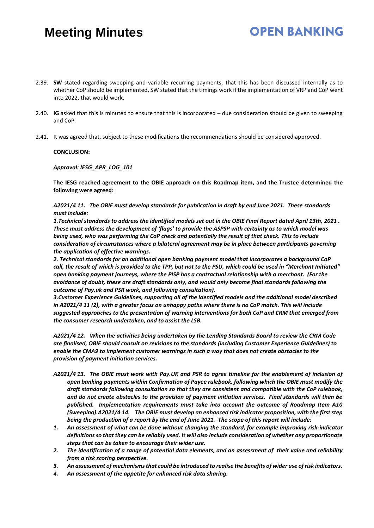2.39. **SW** stated regarding sweeping and variable recurring payments, that this has been discussed internally as to whether CoP should be implemented, SW stated that the timings work if the implementation of VRP and CoP went into 2022, that would work.

**OPEN BANKING** 

- 2.40. **IG** asked that this is minuted to ensure that this is incorporated due consideration should be given to sweeping and CoP.
- 2.41. It was agreed that, subject to these modifications the recommendations should be considered approved.

#### **CONCLUSION:**

#### *Approval: IESG\_APR\_LOG\_101*

**The IESG reached agreement to the OBIE approach on this Roadmap item, and the Trustee determined the following were agreed:**

*A2021/4 11. The OBIE must develop standards for publication in draft by end June 2021. These standards must include:*

*1.Technical standards to address the identified models set out in the OBIE Final Report dated April 13th, 2021 . These must address the development of 'flags' to provide the ASPSP with certainty as to which model was being used, who was performing the CoP check and potentially the result of that check. This to include consideration of circumstances where a bilateral agreement may be in place between participants governing the application of effective warnings.* 

*2. Technical standards for an additional open banking payment model that incorporates a background CoP call, the result of which is provided to the TPP, but not to the PSU, which could be used in "Merchant Initiated" open banking payment journeys, where the PISP has a contractual relationship with a merchant. (For the avoidance of doubt, these are draft standards only, and would only become final standards following the outcome of Pay.uk and PSR work, and following consultation).* 

*3.Customer Experience Guidelines, supporting all of the identified models and the additional model described in A2021/4 11 (2), with a greater focus on unhappy paths where there is no CoP match. This will include suggested approaches to the presentation of warning interventions for both CoP and CRM that emerged from the consumer research undertaken, and to assist the LSB.* 

*A2021/4 12. When the activities being undertaken by the Lending Standards Board to review the CRM Code are finalised, OBIE should consult on revisions to the standards (including Customer Experience Guidelines) to enable the CMA9 to implement customer warnings in such a way that does not create obstacles to the provision of payment initiation services.* 

- *A2021/4 13. The OBIE must work with Pay.UK and PSR to agree timeline for the enablement of inclusion of open banking payments within Confirmation of Payee rulebook, following which the OBIE must modify the draft standards following consultation so that they are consistent and compatible with the CoP rulebook, and do not create obstacles to the provision of payment initiation services. Final standards will then be published. Implementation requirements must take into account the outcome of Roadmap Item A10 (Sweeping).A2021/4 14. The OBIE must develop an enhanced risk indicator proposition, with the first step being the production of a report by the end of June 2021. The scope of this report will include:*
- *1. An assessment of what can be done without changing the standard, for example improving risk-indicator definitions so that they can be reliably used. It will also include consideration of whether any proportionate steps that can be taken to encourage their wider use.*
- *2. The identification of a range of potential data elements, and an assessment of their value and reliability from a risk scoring perspective.*
- *3. An assessment of mechanisms that could be introduced to realise the benefits of wider use of risk indicators.*
- *4. An assessment of the appetite for enhanced risk data sharing.*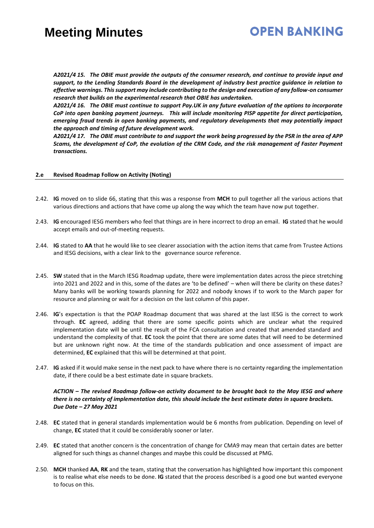### **OPEN BANKING**

*A2021/4 15. The OBIE must provide the outputs of the consumer research, and continue to provide input and support, to the Lending Standards Board in the development of industry best practice guidance in relation to effective warnings. This support may include contributing to the design and execution of any follow-on consumer research that builds on the experimental research that OBIE has undertaken.* 

*A2021/4 16. The OBIE must continue to support Pay.UK in any future evaluation of the options to incorporate CoP into open banking payment journeys. This will include monitoring PISP appetite for direct participation, emerging fraud trends in open banking payments, and regulatory developments that may potentially impact the approach and timing of future development work.* 

*A2021/4 17. The OBIE must contribute to and support the work being progressed by the PSR in the area of APP Scams, the development of CoP, the evolution of the CRM Code, and the risk management of Faster Payment transactions.* 

#### **2.e Revised Roadmap Follow on Activity (Noting)**

- 2.42. **IG** moved on to slide 66, stating that this was a response from **MCH** to pull together all the various actions that various directions and actions that have come up along the way which the team have now put together.
- 2.43. **IG** encouraged IESG members who feel that things are in here incorrect to drop an email. **IG** stated that he would accept emails and out-of-meeting requests.
- 2.44. **IG** stated to **AA** that he would like to see clearer association with the action items that came from Trustee Actions and IESG decisions, with a clear link to the governance source reference.
- 2.45. **SW** stated that in the March IESG Roadmap update, there were implementation dates across the piece stretching into 2021 and 2022 and in this, some of the dates are 'to be defined' – when will there be clarity on these dates? Many banks will be working towards planning for 2022 and nobody knows if to work to the March paper for resource and planning or wait for a decision on the last column of this paper.
- 2.46. **IG**'s expectation is that the POAP Roadmap document that was shared at the last IESG is the correct to work through. **EC** agreed, adding that there are some specific points which are unclear what the required implementation date will be until the result of the FCA consultation and created that amended standard and understand the complexity of that. **EC** took the point that there are some dates that will need to be determined but are unknown right now. At the time of the standards publication and once assessment of impact are determined, **EC** explained that this will be determined at that point.
- 2.47. **IG** asked if it would make sense in the next pack to have where there is no certainty regarding the implementation date, if there could be a best estimate date in square brackets.

#### *ACTION – The revised Roadmap follow-on activity document to be brought back to the May IESG and where there is no certainty of implementation date, this should include the best estimate dates in square brackets. Due Date – 27 May 2021*

- 2.48. **EC** stated that in general standards implementation would be 6 months from publication. Depending on level of change, **EC** stated that it could be considerably sooner or later.
- 2.49. **EC** stated that another concern is the concentration of change for CMA9 may mean that certain dates are better aligned for such things as channel changes and maybe this could be discussed at PMG.
- 2.50. **MCH** thanked **AA**, **RK** and the team, stating that the conversation has highlighted how important this component is to realise what else needs to be done. **IG** stated that the process described is a good one but wanted everyone to focus on this.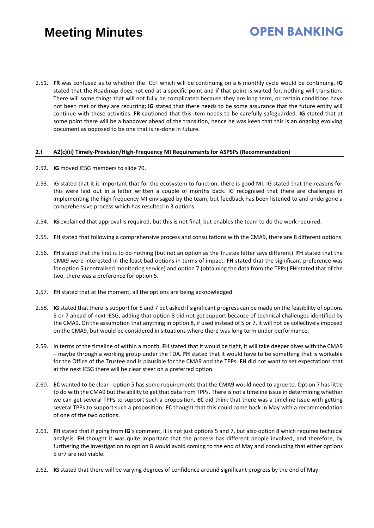# **OPEN BANKING**

2.51. **FR** was confused as to whether the CEF which will be continuing on a 6 monthly cycle would be continuing. **IG**  stated that the Roadmap does not end at a specific point and if that point is waited for, nothing will transition. There will some things that will not fully be complicated because they are long term, or certain conditions have not been met or they are recurring; **IG** stated that there needs to be some assurance that the future entity will continue with these activities. **FR** cautioned that this item needs to be carefully safeguarded. **IG** stated that at some point there will be a handover ahead of the transition, hence he was keen that this is an ongoing evolving document as opposed to be one that is re-done in future.

#### **2.f A2(c)(ii) Timely-Provision/High-Frequency MI Requirements for ASPSPs (Recommendation)**

- 2.52. **IG** moved IESG members to slide 70.
- 2.53. IG stated that it is important that for the ecosystem to function, there is good MI. IG stated that the reasons for this were laid out in a letter written a couple of months back. IG recognised that there are challenges in implementing the high frequency MI envisaged by the team, but feedback has been listened to and undergone a comprehensive process which has resulted in 3 options.
- 2.54. **IG** explained that approval is required, but this is not final, but enables the team to do the work required.
- 2.55. **FH** stated that following a comprehensive process and consultations with the CMA9, there are 8 different options.
- 2.56. **FH** stated that the first is to do nothing (but not an option as the Trustee letter says different). **FH** stated that the CMA9 were interested in the least bad options in terms of impact. **FH** stated that the significant preference was for option 5 (centralised monitoring service) and option 7 (obtaining the data from the TPPs) **FH** stated that of the two, there was a preference for option 5.
- 2.57. **FH** stated that at the moment, all the options are being acknowledged.
- 2.58. **IG** stated that there is support for 5 and 7 but asked if significant progress can be made on the feasibility of options 5 or 7 ahead of next IESG, adding that option 8 did not get support because of technical challenges identified by the CMA9. On the assumption that anything in option 8, if used instead of 5 or 7, it will not be collectively imposed on the CMA9, but would be considered in situations where there was long term under performance.
- 2.59. In terms of the timeline of within a month, **FH** stated that it would be tight, it will take deeper dives with the CMA9 – maybe through a working group under the TDA. **FH** stated that it would have to be something that is workable for the Office of the Trustee and is plausible for the CMA9 and the TPPs. **FH** did not want to set expectations that at the next IESG there will be clear steer on a preferred option.
- 2.60. **EC** wanted to be clear option 5 has some requirements that the CMA9 would need to agree to. Option 7 has little to do with the CMA9 but the ability to get that data from TPPs. There is not a timeline issue in determining whether we can get several TPPs to support such a proposition. **EC** did think that there was a timeline issue with getting several TPPs to support such a proposition; **EC** thought that this could come back in May with a recommendation of one of the two options.
- 2.61. **FH** stated that if going from **IG**'s comment, it is not just options 5 and 7, but also option 8 which requires technical analysis. **FH** thought it was quite important that the process has different people involved, and therefore, by furthering the investigation to option 8 would avoid coming to the end of May and concluding that either options 5 or7 are not viable.
- 2.62. **IG** stated that there will be varying degrees of confidence around significant progress by the end of May.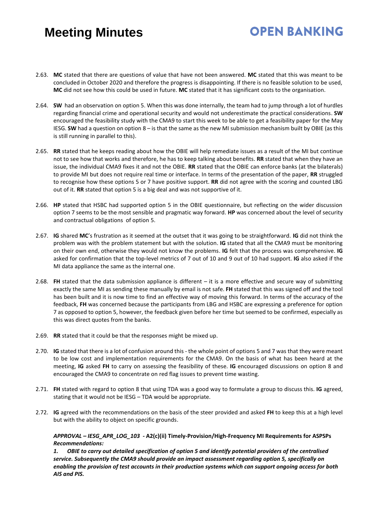# **OPEN BANKING**

- 2.63. **MC** stated that there are questions of value that have not been answered. **MC** stated that this was meant to be concluded in October 2020 and therefore the progress is disappointing. If there is no feasible solution to be used, **MC** did not see how this could be used in future. **MC** stated that it has significant costs to the organisation.
- 2.64. **SW** had an observation on option 5. When this was done internally, the team had to jump through a lot of hurdles regarding financial crime and operational security and would not underestimate the practical considerations. **SW** encouraged the feasibility study with the CMA9 to start this week to be able to get a feasibility paper for the May IESG. **SW** had a question on option 8 – is that the same as the new MI submission mechanism built by OBIE (as this is still running in parallel to this).
- 2.65. **RR** stated that he keeps reading about how the OBIE will help remediate issues as a result of the MI but continue not to see how that works and therefore, he has to keep talking about benefits. **RR** stated that when they have an issue, the individual CMA9 fixes it and not the OBIE. **RR** stated that the OBIE can enforce banks (at the bilaterals) to provide MI but does not require real time or interface. In terms of the presentation of the paper, **RR** struggled to recognise how these options 5 or 7 have positive support. **RR** did not agree with the scoring and counted LBG out of it. **RR** stated that option 5 is a big deal and was not supportive of it.
- 2.66. **HP** stated that HSBC had supported option 5 in the OBIE questionnaire, but reflecting on the wider discussion option 7 seems to be the most sensible and pragmatic way forward. **HP** was concerned about the level of security and contractual obligations of option 5.
- 2.67. **IG** shared **MC**'s frustration as it seemed at the outset that it was going to be straightforward. **IG** did not think the problem was with the problem statement but with the solution. **IG** stated that all the CMA9 must be monitoring on their own end, otherwise they would not know the problems. **IG** felt that the process was comprehensive. **IG** asked for confirmation that the top-level metrics of 7 out of 10 and 9 out of 10 had support. **IG** also asked if the MI data appliance the same as the internal one.
- 2.68. **FH** stated that the data submission appliance is different it is a more effective and secure way of submitting exactly the same MI as sending these manually by email is not safe. **FH** stated that this was signed off and the tool has been built and it is now time to find an effective way of moving this forward. In terms of the accuracy of the feedback, **FH** was concerned because the participants from LBG and HSBC are expressing a preference for option 7 as opposed to option 5, however, the feedback given before her time but seemed to be confirmed, especially as this was direct quotes from the banks.
- 2.69. **RR** stated that it could be that the responses might be mixed up.
- 2.70. **IG** stated that there is a lot of confusion around this the whole point of options 5 and 7 was that they were meant to be low cost and implementation requirements for the CMA9. On the basis of what has been heard at the meeting, **IG** asked **FH** to carry on assessing the feasibility of these. **IG** encouraged discussions on option 8 and encouraged the CMA9 to concentrate on red flag issues to prevent time wasting.
- 2.71. **FH** stated with regard to option 8 that using TDA was a good way to formulate a group to discuss this. **IG** agreed, stating that it would not be IESG – TDA would be appropriate.
- 2.72. **IG** agreed with the recommendations on the basis of the steer provided and asked **FH** to keep this at a high level but with the ability to object on specific grounds.

*APPROVAL – IESG\_APR\_LOG\_103 -* **A2(c)(ii) Timely-Provision/High-Frequency MI Requirements for ASPSPs** *Recommendations:*

*1. OBIE to carry out detailed specification of option 5 and identify potential providers of the centralised service. Subsequently the CMA9 should provide an impact assessment regarding option 5, specifically on enabling the provision of test accounts in their production systems which can support ongoing access for both AIS and PIS.*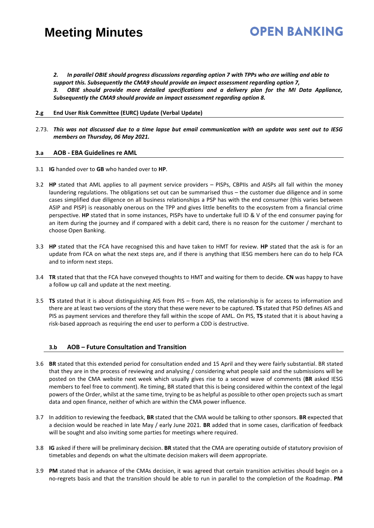*2. In parallel OBIE should progress discussions regarding option 7 with TPPs who are willing and able to support this. Subsequently the CMA9 should provide an impact assessment regarding option 7, 3. OBIE should provide more detailed specifications and a delivery plan for the MI Data Appliance, Subsequently the CMA9 should provide an impact assessment regarding option 8.*

**OPEN BANKING** 

#### **2.g End User Risk Committee (EURC) Update (Verbal Update)**

2.73. *This was not discussed due to a time lapse but email communication with an update was sent out to IESG members on Thursday, 06 May 2021.* 

#### **3.a AOB - EBA Guidelines re AML**

- 3.1 **IG** handed over to **GB** who handed over to **HP**.
- 3.2 **HP** stated that AML applies to all payment service providers PISPs, CBPIIs and AISPs all fall within the money laundering regulations. The obligations set out can be summarised thus – the customer due diligence and in some cases simplified due diligence on all business relationships a PSP has with the end consumer (this varies between ASIP and PISP) is reasonably onerous on the TPP and gives little benefits to the ecosystem from a financial crime perspective. **HP** stated that in some instances, PISPs have to undertake full ID & V of the end consumer paying for an item during the journey and if compared with a debit card, there is no reason for the customer / merchant to choose Open Banking.
- 3.3 **HP** stated that the FCA have recognised this and have taken to HMT for review. **HP** stated that the ask is for an update from FCA on what the next steps are, and if there is anything that IESG members here can do to help FCA and to inform next steps.
- 3.4 **TR** stated that that the FCA have conveyed thoughts to HMT and waiting for them to decide. **CN** was happy to have a follow up call and update at the next meeting.
- 3.5 **TS** stated that it is about distinguishing AIS from PIS from AIS, the relationship is for access to information and there are at least two versions of the story that these were never to be captured. **TS** stated that PSD defines AIS and PIS as payment services and therefore they fall within the scope of AML. On PIS, **TS** stated that it is about having a risk-based approach as requiring the end user to perform a CDD is destructive.

#### **3.b AOB – Future Consultation and Transition**

- 3.6 **BR** stated that this extended period for consultation ended and 15 April and they were fairly substantial. BR stated that they are in the process of reviewing and analysing / considering what people said and the submissions will be posted on the CMA website next week which usually gives rise to a second wave of comments (**BR** asked IESG members to feel free to comment). Re timing, BR stated that this is being considered within the context of the legal powers of the Order, whilst at the same time, trying to be as helpful as possible to other open projects such as smart data and open finance, neither of which are within the CMA power influence.
- 3.7 In addition to reviewing the feedback, **BR** stated that the CMA would be talking to other sponsors. **BR** expected that a decision would be reached in late May / early June 2021. **BR** added that in some cases, clarification of feedback will be sought and also inviting some parties for meetings where required.
- 3.8 **IG** asked if there will be preliminary decision. **BR** stated that the CMA are operating outside of statutory provision of timetables and depends on what the ultimate decision makers will deem appropriate.
- 3.9 **PM** stated that in advance of the CMAs decision, it was agreed that certain transition activities should begin on a no-regrets basis and that the transition should be able to run in parallel to the completion of the Roadmap. **PM**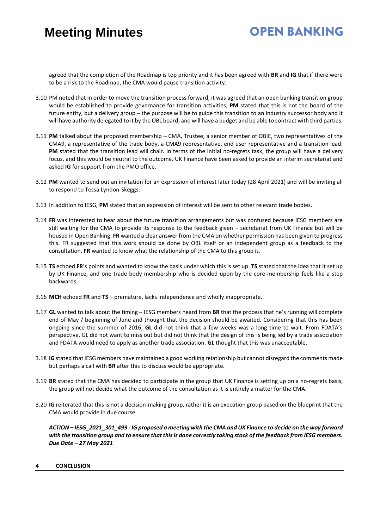# **OPEN BANKING**

agreed that the completion of the Roadmap is top priority and it has been agreed with **BR** and **IG** that if there were to be a risk to the Roadmap, the CMA would pause transition activity.

- 3.10 PM noted that in order to move the transition process forward, it was agreed that an open banking transition group would be established to provide governance for transition activities, **PM** stated that this is not the board of the future entity, but a delivery group – the purpose will be to guide this transition to an industry successor body and it will have authority delegated to it by the OBL board, and will have a budget and be able to contract with third parties.
- 3.11 **PM** talked about the proposed membership CMA, Trustee, a senior member of OBIE, two representatives of the CMA9, a representative of the trade body, a CMA9 representative, end user representative and a transition lead. PM stated that the transition lead will chair. In terms of the initial no-regrets task, the group will have a delivery focus, and this would be neutral to the outcome. UK Finance have been asked to provide an interim secretariat and asked **IG** for support from the PMO office.
- 3.12 **PM** wanted to send out an invitation for an expression of interest later today (28 April 2021) and will be inviting all to respond to Tessa Lyndon-Skeggs.
- 3.13 In addition to IESG, **PM** stated that an expression of interest will be sent to other relevant trade bodies.
- 3.14 **FR** was interested to hear about the future transition arrangements but was confused because IESG members are still waiting for the CMA to provide its response to the feedback given – secretariat from UK Finance but will be housed in Open Banking. **FR** wanted a clear answer from the CMA on whether permission has been given to progress this. FR suggested that this work should be done by OBL itself or an independent group as a feedback to the consultation. **FR** wanted to know what the relationship of the CMA to this group is.
- 3.15 **TS** echoed **FR**'s points and wanted to know the basis under which this is set up. **TS** stated that the idea that it set up by UK Finance, and one trade body membership who is decided upon by the core membership feels like a step backwards.
- 3.16 **MCH** echoed **FR** and **TS** premature, lacks independence and wholly inappropriate.
- 3.17 **GL** wanted to talk about the timing IESG members heard from **BR** that the process that he's running will complete end of May / beginning of June and thought that the decision should be awaited. Considering that this has been ongoing since the summer of 2016, **GL** did not think that a few weeks was a long time to wait. From FDATA's perspective, GL did not want to miss out but did not think that the design of this is being led by a trade association and FDATA would need to apply as another trade association. **GL** thought that this was unacceptable.
- 3.18 **IG** stated that IESG members have maintained a good working relationship but cannot disregard the comments made but perhaps a call with **BR** after this to discuss would be appropriate.
- 3.19 **BR** stated that the CMA has decided to participate in the group that UK Finance is setting up on a no-regrets basis, the group will not decide what the outcome of the consultation as it is entirely a matter for the CMA.
- 3.20 **IG** reiterated that this is not a decision-making group, rather it is an execution group based on the blueprint that the CMA would provide in due course.

*ACTION – IESG\_2021\_301\_499 - IG proposed a meeting with the CMA and UK Finance to decide on the way forward with the transition group and to ensure that this is done correctly taking stock of the feedback from IESG members. Due Date – 27 May 2021*

#### **4 CONCLUSION**